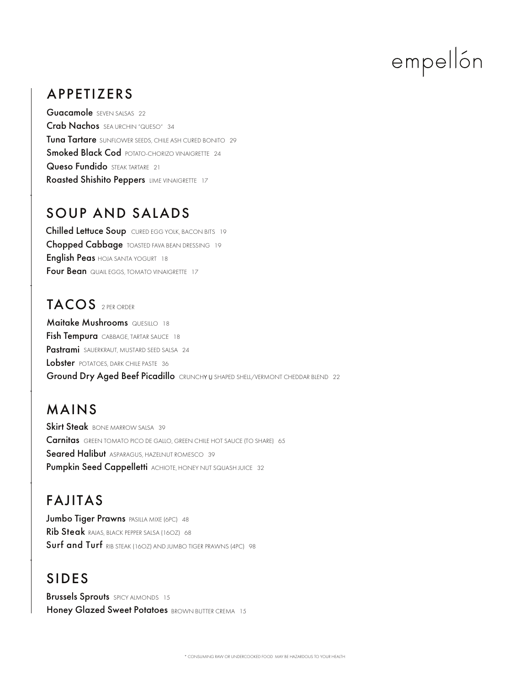# empellón

### APPETIZERS

Guacamole SEVEN SALSAS 22 Crab Nachos SEA URCHIN "QUESO" 34 Tuna Tartare SUNFLOWER SEEDS, CHILE ASH CURED BONITO 29 Roasted Shishito Peppers LIME VINAIGRETTE 17 Smoked Black Cod POTATO-CHORIZO VINAIGRETTE 24 Queso Fundido STEAK TARTARE 21

### SOUP AND SALADS

Chopped Cabbage TOASTED FAVA BEAN DRESSING 19 English Peas HOJA SANTA YOGURT 18 Four Bean QUAIL EGGS, TOMATO VINAIGRETTE 17 Chilled Lettuce Soup CURED EGG YOLK, BACON BITS 19

#### TACOS 2 PER ORDER

Fish Tempura CABBAGE, TARTAR SAUCE 18 Pastrami SAUERKRAUT, MUSTARD SEED SALSA 24 **Maitake Mushrooms QUESILLO 18** Lobster POTATOES, DARK CHILE PASTE 36 Ground Dry Aged Beef Picadillo CRUNCHY U SHAPED SHELL/VERMONT CHEDDAR BLEND 22

### MAINS

Pumpkin Seed Cappelletti ACHIOTE, HONEY NUT SQUASH JUICE 32 Skirt Steak BONE MARROW SALSA 39 **Seared Halibut** ASPARAGUS, HAZEINUT ROMESCO 39 **Carnitas** GREEN TOMATO PICO DE GALLO, GREEN CHILE HOT SAUCE (TO SHARE) 65

# FAJITAS

Jumbo Tiger Prawns PASILLA MIXE (6PC) 48 Rib Steak RAJAS, BLACK PEPPER SALSA (16OZ) 68 Surf and Turf RIB STEAK (160Z) AND JUMBO TIGER PRAWNS (4PC) 98

### SIDES

**Brussels Sprouts** SPICY ALMONDS 15 Honey Glazed Sweet Potatoes BROWN BUTTER CREMA 15